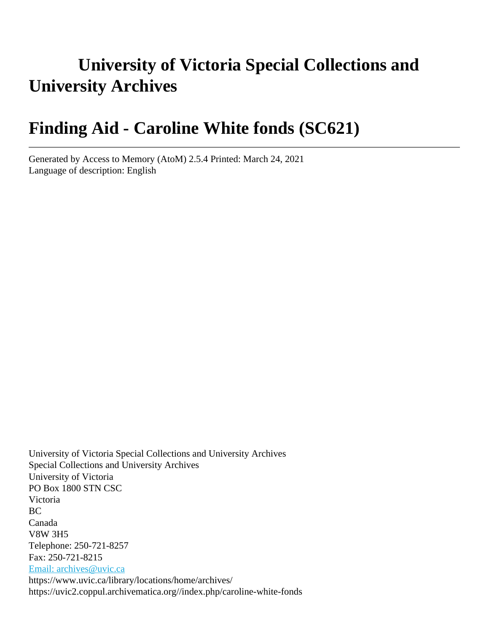# **University of Victoria Special Collections and University Archives**

# **Finding Aid - Caroline White fonds (SC621)**

Generated by Access to Memory (AtoM) 2.5.4 Printed: March 24, 2021 Language of description: English

University of Victoria Special Collections and University Archives Special Collections and University Archives University of Victoria PO Box 1800 STN CSC Victoria BC Canada V8W 3H5 Telephone: 250-721-8257 Fax: 250-721-8215 [Email: archives@uvic.ca](mailto:Email: archives@uvic.ca) https://www.uvic.ca/library/locations/home/archives/ https://uvic2.coppul.archivematica.org//index.php/caroline-white-fonds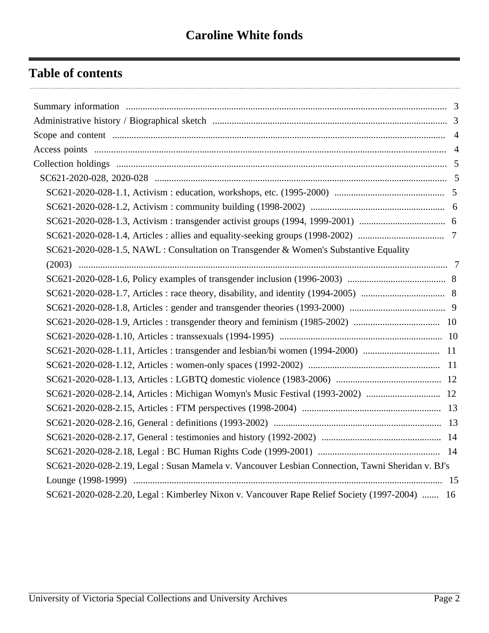## **Table of contents**

| SC621-2020-028-1.5, NAWL: Consultation on Transgender & Women's Substantive Equality              |
|---------------------------------------------------------------------------------------------------|
|                                                                                                   |
|                                                                                                   |
|                                                                                                   |
|                                                                                                   |
|                                                                                                   |
|                                                                                                   |
| SC621-2020-028-1.11, Articles : transgender and lesbian/bi women (1994-2000)  11                  |
|                                                                                                   |
|                                                                                                   |
|                                                                                                   |
|                                                                                                   |
|                                                                                                   |
|                                                                                                   |
|                                                                                                   |
| SC621-2020-028-2.19, Legal : Susan Mamela v. Vancouver Lesbian Connection, Tawni Sheridan v. BJ's |
|                                                                                                   |
| SC621-2020-028-2.20, Legal: Kimberley Nixon v. Vancouver Rape Relief Society (1997-2004)  16      |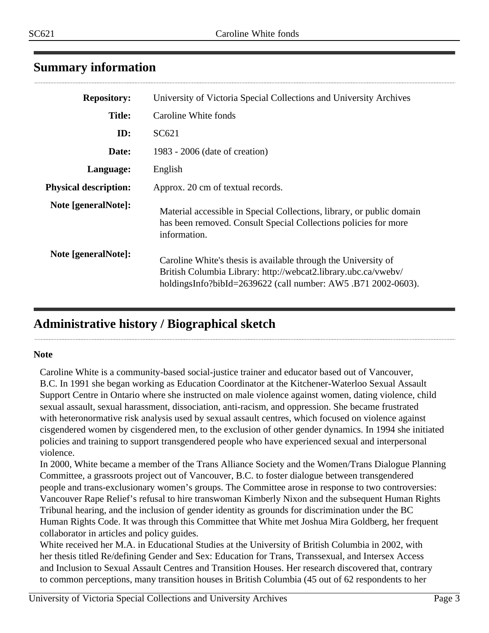## <span id="page-2-0"></span>**Summary information**

| <b>Repository:</b>           | University of Victoria Special Collections and University Archives                                                                                                                                |
|------------------------------|---------------------------------------------------------------------------------------------------------------------------------------------------------------------------------------------------|
| <b>Title:</b>                | Caroline White fonds                                                                                                                                                                              |
| ID:                          | SC621                                                                                                                                                                                             |
| Date:                        | 1983 - 2006 (date of creation)                                                                                                                                                                    |
| Language:                    | English                                                                                                                                                                                           |
| <b>Physical description:</b> | Approx. 20 cm of textual records.                                                                                                                                                                 |
| Note [generalNote]:          | Material accessible in Special Collections, library, or public domain<br>has been removed. Consult Special Collections policies for more<br>information.                                          |
| Note [generalNote]:          | Caroline White's thesis is available through the University of<br>British Columbia Library: http://webcat2.library.ubc.ca/vwebv/<br>holdingsInfo?bibId=2639622 (call number: AW5 .B71 2002-0603). |

## <span id="page-2-1"></span>**Administrative history / Biographical sketch**

#### **Note**

Caroline White is a community-based social-justice trainer and educator based out of Vancouver, B.C. In 1991 she began working as Education Coordinator at the Kitchener-Waterloo Sexual Assault Support Centre in Ontario where she instructed on male violence against women, dating violence, child sexual assault, sexual harassment, dissociation, anti-racism, and oppression. She became frustrated with heteronormative risk analysis used by sexual assault centres, which focused on violence against cisgendered women by cisgendered men, to the exclusion of other gender dynamics. In 1994 she initiated policies and training to support transgendered people who have experienced sexual and interpersonal violence.

In 2000, White became a member of the Trans Alliance Society and the Women/Trans Dialogue Planning Committee, a grassroots project out of Vancouver, B.C. to foster dialogue between transgendered people and trans-exclusionary women's groups. The Committee arose in response to two controversies: Vancouver Rape Relief's refusal to hire transwoman Kimberly Nixon and the subsequent Human Rights Tribunal hearing, and the inclusion of gender identity as grounds for discrimination under the BC Human Rights Code. It was through this Committee that White met Joshua Mira Goldberg, her frequent collaborator in articles and policy guides.

White received her M.A. in Educational Studies at the University of British Columbia in 2002, with her thesis titled Re/defining Gender and Sex: Education for Trans, Transsexual, and Intersex Access and Inclusion to Sexual Assault Centres and Transition Houses. Her research discovered that, contrary to common perceptions, many transition houses in British Columbia (45 out of 62 respondents to her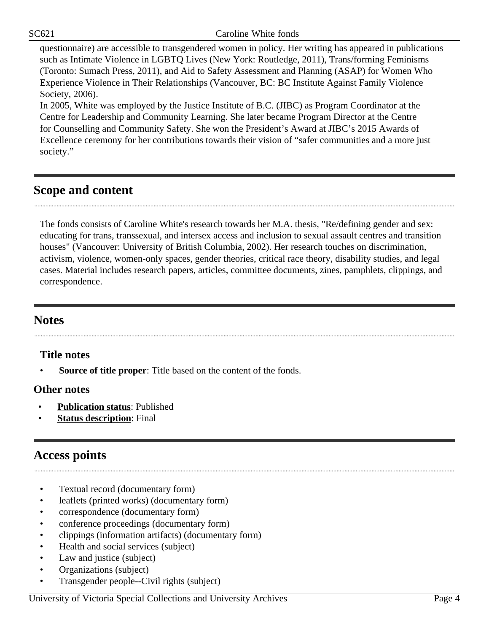SC621 Caroline White fonds

questionnaire) are accessible to transgendered women in policy. Her writing has appeared in publications such as Intimate Violence in LGBTQ Lives (New York: Routledge, 2011), Trans/forming Feminisms (Toronto: Sumach Press, 2011), and Aid to Safety Assessment and Planning (ASAP) for Women Who Experience Violence in Their Relationships (Vancouver, BC: BC Institute Against Family Violence Society, 2006).

In 2005, White was employed by the Justice Institute of B.C. (JIBC) as Program Coordinator at the Centre for Leadership and Community Learning. She later became Program Director at the Centre for Counselling and Community Safety. She won the President's Award at JIBC's 2015 Awards of Excellence ceremony for her contributions towards their vision of "safer communities and a more just society."

## <span id="page-3-0"></span>**Scope and content**

The fonds consists of Caroline White's research towards her M.A. thesis, "Re/defining gender and sex: educating for trans, transsexual, and intersex access and inclusion to sexual assault centres and transition houses" (Vancouver: University of British Columbia, 2002). Her research touches on discrimination, activism, violence, women-only spaces, gender theories, critical race theory, disability studies, and legal cases. Material includes research papers, articles, committee documents, zines, pamphlets, clippings, and correspondence.

## **Notes**

## **Title notes**

**Source of title proper:** Title based on the content of the fonds.

#### **Other notes**

- **Publication status**: Published
- **Status description:** Final

## <span id="page-3-1"></span>**Access points**

- Textual record (documentary form)
- leaflets (printed works) (documentary form)
- correspondence (documentary form)
- conference proceedings (documentary form)
- clippings (information artifacts) (documentary form)
- Health and social services (subject)
- Law and justice (subject)
- Organizations (subject)
- Transgender people--Civil rights (subject)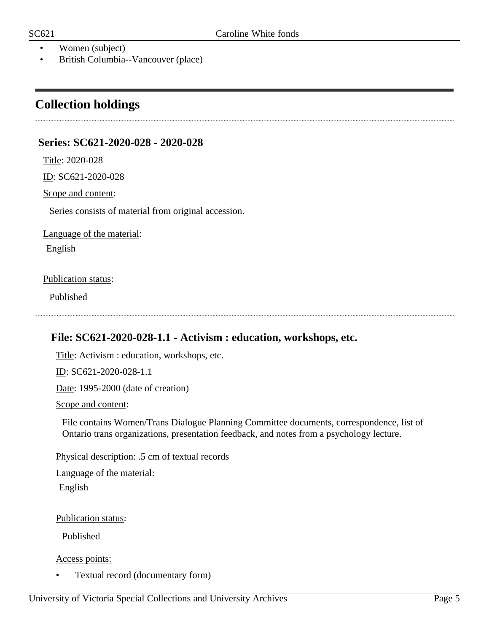- Women (subject)
- British Columbia--Vancouver (place)

## <span id="page-4-0"></span>**Collection holdings**

#### <span id="page-4-1"></span>**Series: SC621-2020-028 - 2020-028**

Title: 2020-028

ID: SC621-2020-028

Scope and content:

Series consists of material from original accession.

Language of the material:

English

#### Publication status:

Published

#### <span id="page-4-2"></span>**File: SC621-2020-028-1.1 - Activism : education, workshops, etc.**

Title: Activism : education, workshops, etc.

ID: SC621-2020-028-1.1

Date: 1995-2000 (date of creation)

Scope and content:

File contains Women/Trans Dialogue Planning Committee documents, correspondence, list of Ontario trans organizations, presentation feedback, and notes from a psychology lecture.

Physical description: .5 cm of textual records

Language of the material:

English

Publication status:

Published

Access points:

• Textual record (documentary form)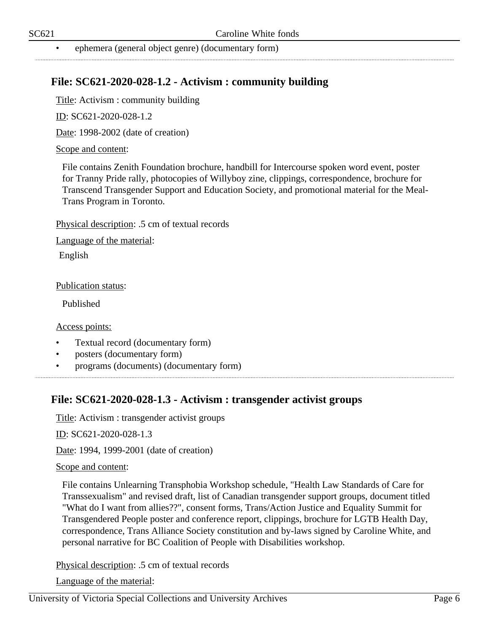• ephemera (general object genre) (documentary form)

#### <span id="page-5-0"></span>**File: SC621-2020-028-1.2 - Activism : community building**

Title: Activism : community building

ID: SC621-2020-028-1.2

Date: 1998-2002 (date of creation)

#### Scope and content:

File contains Zenith Foundation brochure, handbill for Intercourse spoken word event, poster for Tranny Pride rally, photocopies of Willyboy zine, clippings, correspondence, brochure for Transcend Transgender Support and Education Society, and promotional material for the Meal-Trans Program in Toronto.

Physical description: .5 cm of textual records

Language of the material:

English

Publication status:

Published

Access points:

- Textual record (documentary form)
- posters (documentary form)
- programs (documents) (documentary form)

#### <span id="page-5-1"></span>**File: SC621-2020-028-1.3 - Activism : transgender activist groups**

Title: Activism : transgender activist groups

ID: SC621-2020-028-1.3

Date: 1994, 1999-2001 (date of creation)

#### Scope and content:

File contains Unlearning Transphobia Workshop schedule, "Health Law Standards of Care for Transsexualism" and revised draft, list of Canadian transgender support groups, document titled "What do I want from allies??", consent forms, Trans/Action Justice and Equality Summit for Transgendered People poster and conference report, clippings, brochure for LGTB Health Day, correspondence, Trans Alliance Society constitution and by-laws signed by Caroline White, and personal narrative for BC Coalition of People with Disabilities workshop.

Physical description: .5 cm of textual records

Language of the material: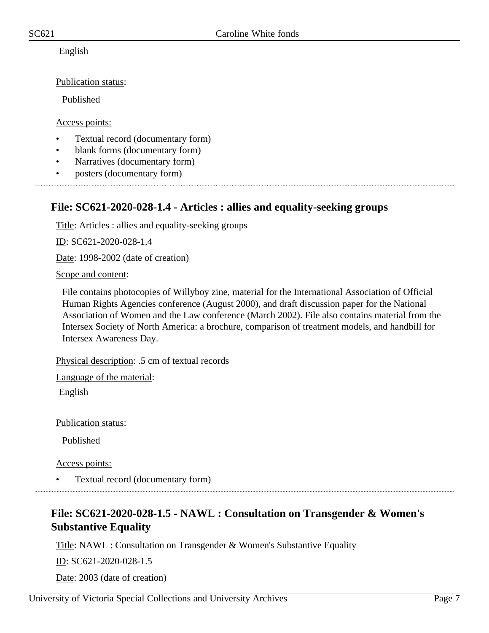English

Publication status:

Published

Access points:

- Textual record (documentary form)
- blank forms (documentary form)
- Narratives (documentary form)
- posters (documentary form)

#### <span id="page-6-0"></span>**File: SC621-2020-028-1.4 - Articles : allies and equality-seeking groups**

Title: Articles : allies and equality-seeking groups

ID: SC621-2020-028-1.4

Date: 1998-2002 (date of creation)

Scope and content:

File contains photocopies of Willyboy zine, material for the International Association of Official Human Rights Agencies conference (August 2000), and draft discussion paper for the National Association of Women and the Law conference (March 2002). File also contains material from the Intersex Society of North America: a brochure, comparison of treatment models, and handbill for Intersex Awareness Day.

Physical description: .5 cm of textual records

Language of the material: English

Publication status:

Published

Access points:

• Textual record (documentary form)

## <span id="page-6-1"></span>**File: SC621-2020-028-1.5 - NAWL : Consultation on Transgender & Women's Substantive Equality**

Title: NAWL : Consultation on Transgender & Women's Substantive Equality

ID: SC621-2020-028-1.5

Date: 2003 (date of creation)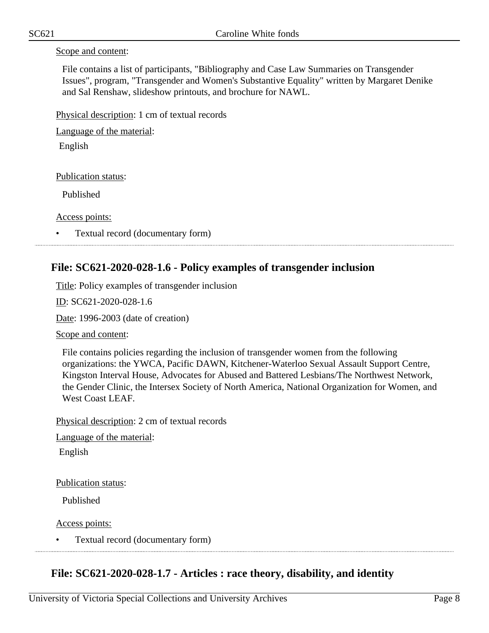#### Scope and content:

File contains a list of participants, "Bibliography and Case Law Summaries on Transgender Issues", program, "Transgender and Women's Substantive Equality" written by Margaret Denike and Sal Renshaw, slideshow printouts, and brochure for NAWL.

Physical description: 1 cm of textual records

Language of the material:

English

Publication status:

Published

Access points:

• Textual record (documentary form) 

#### <span id="page-7-0"></span>**File: SC621-2020-028-1.6 - Policy examples of transgender inclusion**

Title: Policy examples of transgender inclusion

ID: SC621-2020-028-1.6

Date: 1996-2003 (date of creation)

Scope and content:

File contains policies regarding the inclusion of transgender women from the following organizations: the YWCA, Pacific DAWN, Kitchener-Waterloo Sexual Assault Support Centre, Kingston Interval House, Advocates for Abused and Battered Lesbians/The Northwest Network, the Gender Clinic, the Intersex Society of North America, National Organization for Women, and West Coast LEAF.

Physical description: 2 cm of textual records

Language of the material:

English

Publication status:

Published

Access points:

• Textual record (documentary form)

#### <span id="page-7-1"></span>**File: SC621-2020-028-1.7 - Articles : race theory, disability, and identity**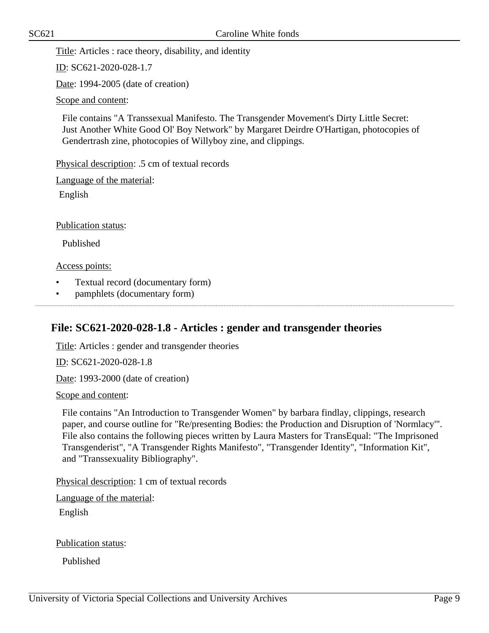Title: Articles : race theory, disability, and identity

ID: SC621-2020-028-1.7

Date: 1994-2005 (date of creation)

Scope and content:

File contains "A Transsexual Manifesto. The Transgender Movement's Dirty Little Secret: Just Another White Good Ol' Boy Network" by Margaret Deirdre O'Hartigan, photocopies of Gendertrash zine, photocopies of Willyboy zine, and clippings.

Physical description: .5 cm of textual records

Language of the material:

English

Publication status:

Published

Access points:

- Textual record (documentary form)
- pamphlets (documentary form)

## <span id="page-8-0"></span>**File: SC621-2020-028-1.8 - Articles : gender and transgender theories**

Title: Articles : gender and transgender theories

ID: SC621-2020-028-1.8

Date: 1993-2000 (date of creation)

Scope and content:

File contains "An Introduction to Transgender Women" by barbara findlay, clippings, research paper, and course outline for "Re/presenting Bodies: the Production and Disruption of 'Normlacy'". File also contains the following pieces written by Laura Masters for TransEqual: "The Imprisoned Transgenderist", "A Transgender Rights Manifesto", "Transgender Identity", "Information Kit", and "Transsexuality Bibliography".

Physical description: 1 cm of textual records

Language of the material:

English

Publication status:

Published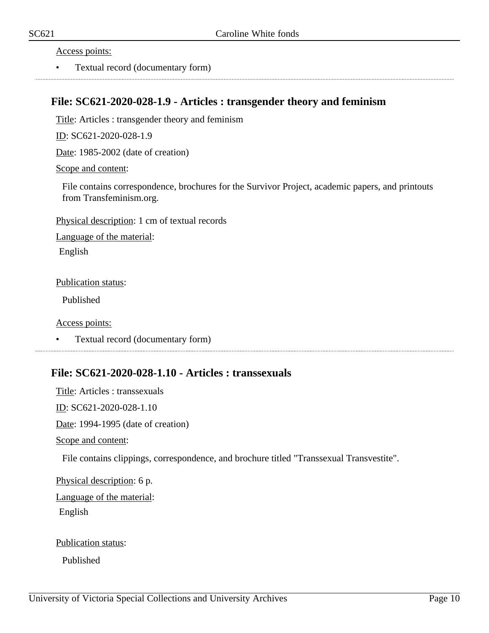Access points:

• Textual record (documentary form)

#### <span id="page-9-0"></span>**File: SC621-2020-028-1.9 - Articles : transgender theory and feminism**

Title: Articles : transgender theory and feminism

ID: SC621-2020-028-1.9

Date: 1985-2002 (date of creation)

Scope and content:

File contains correspondence, brochures for the Survivor Project, academic papers, and printouts from Transfeminism.org.

Physical description: 1 cm of textual records

Language of the material:

English

Publication status:

Published

Access points:

• Textual record (documentary form)

#### <span id="page-9-1"></span>**File: SC621-2020-028-1.10 - Articles : transsexuals**

Title: Articles : transsexuals ID: SC621-2020-028-1.10 Date: 1994-1995 (date of creation) Scope and content:

File contains clippings, correspondence, and brochure titled "Transsexual Transvestite".

Physical description: 6 p. Language of the material: English

Publication status:

Published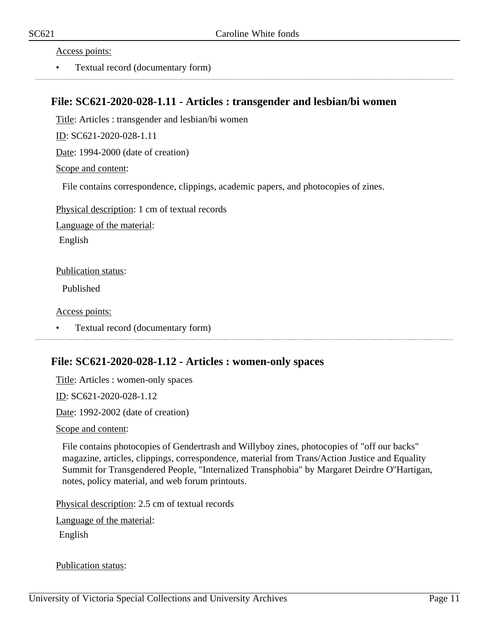Access points:

• Textual record (documentary form)

#### <span id="page-10-0"></span>**File: SC621-2020-028-1.11 - Articles : transgender and lesbian/bi women**

Title: Articles : transgender and lesbian/bi women

ID: SC621-2020-028-1.11

Date: 1994-2000 (date of creation)

Scope and content:

File contains correspondence, clippings, academic papers, and photocopies of zines.

Physical description: 1 cm of textual records

Language of the material:

English

Publication status:

Published

Access points:

• Textual record (documentary form)

#### <span id="page-10-1"></span>**File: SC621-2020-028-1.12 - Articles : women-only spaces**

Title: Articles : women-only spaces

ID: SC621-2020-028-1.12

Date: 1992-2002 (date of creation)

Scope and content:

File contains photocopies of Gendertrash and Willyboy zines, photocopies of "off our backs" magazine, articles, clippings, correspondence, material from Trans/Action Justice and Equality Summit for Transgendered People, "Internalized Transphobia" by Margaret Deirdre O''Hartigan, notes, policy material, and web forum printouts.

Physical description: 2.5 cm of textual records

Language of the material:

English

Publication status: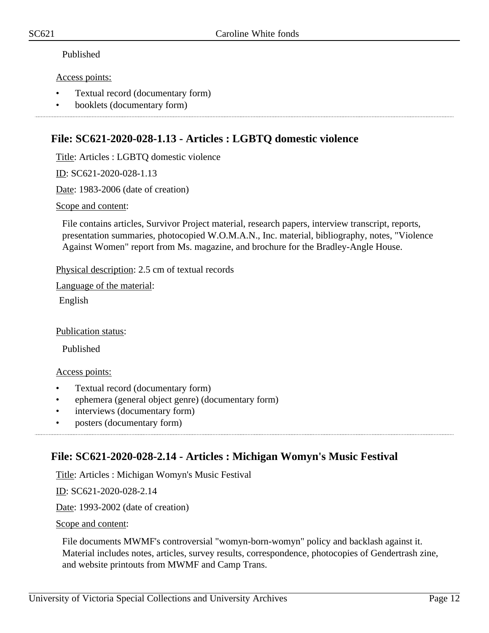#### Published

#### Access points:

- Textual record (documentary form)
- booklets (documentary form)

### <span id="page-11-0"></span>**File: SC621-2020-028-1.13 - Articles : LGBTQ domestic violence**

Title: Articles : LGBTQ domestic violence

ID: SC621-2020-028-1.13

Date: 1983-2006 (date of creation)

Scope and content:

File contains articles, Survivor Project material, research papers, interview transcript, reports, presentation summaries, photocopied W.O.M.A.N., Inc. material, bibliography, notes, "Violence Against Women" report from Ms. magazine, and brochure for the Bradley-Angle House.

Physical description: 2.5 cm of textual records

Language of the material:

English

Publication status:

Published

#### Access points:

- Textual record (documentary form)
- ephemera (general object genre) (documentary form)
- interviews (documentary form)
- posters (documentary form)

## <span id="page-11-1"></span>**File: SC621-2020-028-2.14 - Articles : Michigan Womyn's Music Festival**

Title: Articles : Michigan Womyn's Music Festival

ID: SC621-2020-028-2.14

Date: 1993-2002 (date of creation)

Scope and content:

File documents MWMF's controversial "womyn-born-womyn" policy and backlash against it. Material includes notes, articles, survey results, correspondence, photocopies of Gendertrash zine, and website printouts from MWMF and Camp Trans.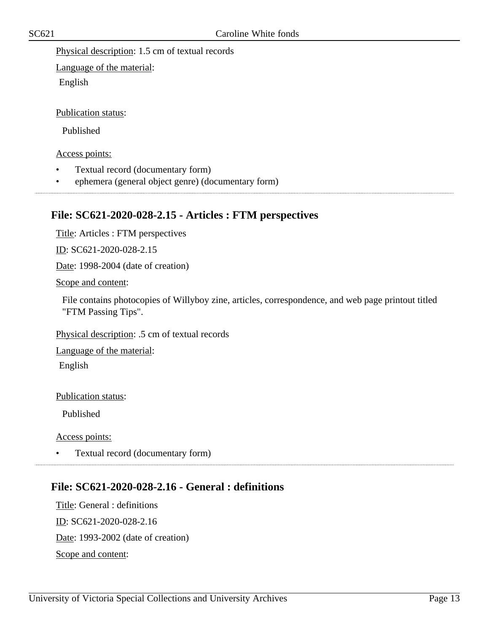Physical description: 1.5 cm of textual records

Language of the material: English

Publication status:

Published

Access points:

- Textual record (documentary form)
- ephemera (general object genre) (documentary form)

## <span id="page-12-0"></span>**File: SC621-2020-028-2.15 - Articles : FTM perspectives**

Title: Articles : FTM perspectives

ID: SC621-2020-028-2.15

Date: 1998-2004 (date of creation)

Scope and content:

File contains photocopies of Willyboy zine, articles, correspondence, and web page printout titled "FTM Passing Tips".

Physical description: .5 cm of textual records

Language of the material:

English

Publication status:

Published

Access points:

• Textual record (documentary form) 

## <span id="page-12-1"></span>**File: SC621-2020-028-2.16 - General : definitions**

Title: General : definitions ID: SC621-2020-028-2.16 Date: 1993-2002 (date of creation) Scope and content: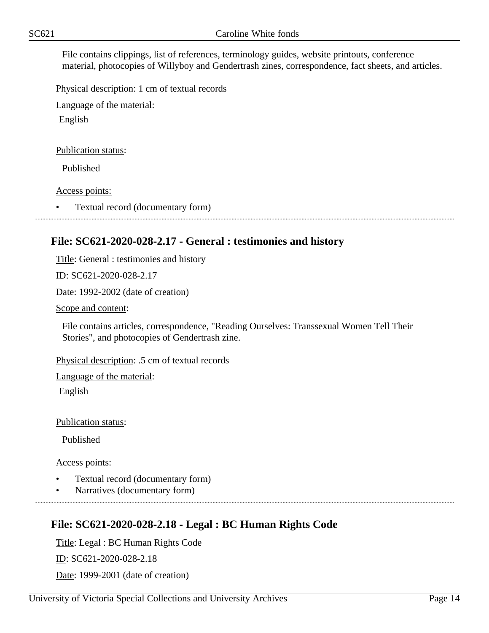File contains clippings, list of references, terminology guides, website printouts, conference material, photocopies of Willyboy and Gendertrash zines, correspondence, fact sheets, and articles.

Physical description: 1 cm of textual records

Language of the material:

English

Publication status:

Published

Access points:

• Textual record (documentary form)

#### <span id="page-13-0"></span>**File: SC621-2020-028-2.17 - General : testimonies and history**

Title: General : testimonies and history

ID: SC621-2020-028-2.17

Date: 1992-2002 (date of creation)

Scope and content:

File contains articles, correspondence, "Reading Ourselves: Transsexual Women Tell Their Stories", and photocopies of Gendertrash zine.

Physical description: .5 cm of textual records

Language of the material:

English

Publication status:

Published

Access points:

- Textual record (documentary form)
- Narratives (documentary form)

## <span id="page-13-1"></span>**File: SC621-2020-028-2.18 - Legal : BC Human Rights Code**

Title: Legal : BC Human Rights Code

ID: SC621-2020-028-2.18

Date: 1999-2001 (date of creation)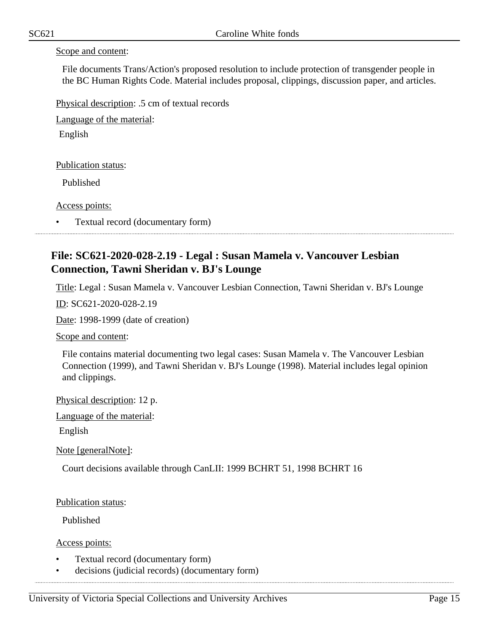#### Scope and content:

File documents Trans/Action's proposed resolution to include protection of transgender people in the BC Human Rights Code. Material includes proposal, clippings, discussion paper, and articles.

Physical description: .5 cm of textual records

Language of the material:

English

Publication status:

Published

Access points:

• Textual record (documentary form)

### <span id="page-14-0"></span>**File: SC621-2020-028-2.19 - Legal : Susan Mamela v. Vancouver Lesbian Connection, Tawni Sheridan v. BJ's Lounge**

Title: Legal : Susan Mamela v. Vancouver Lesbian Connection, Tawni Sheridan v. BJ's Lounge

ID: SC621-2020-028-2.19

Date: 1998-1999 (date of creation)

Scope and content:

File contains material documenting two legal cases: Susan Mamela v. The Vancouver Lesbian Connection (1999), and Tawni Sheridan v. BJ's Lounge (1998). Material includes legal opinion and clippings.

Physical description: 12 p.

Language of the material:

English

Note [generalNote]:

Court decisions available through CanLII: 1999 BCHRT 51, 1998 BCHRT 16

Publication status:

Published

Access points:

- Textual record (documentary form)
- decisions (judicial records) (documentary form)